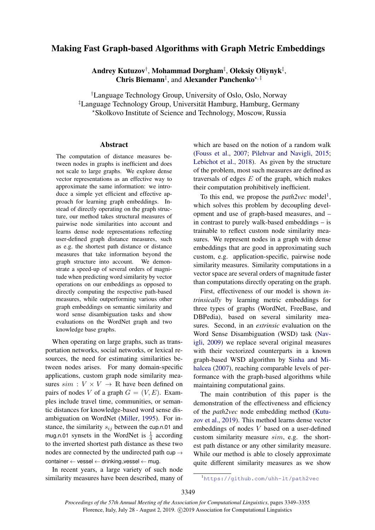# Making Fast Graph-based Algorithms with Graph Metric Embeddings

Andrey Kutuzov† , Mohammad Dorgham‡ , Oleksiy Oliynyk‡ , Chris Biemann<sup>‡</sup>, and Alexander Panchenko<sup>\*, ‡</sup>

†Language Technology Group, University of Oslo, Oslo, Norway ‡Language Technology Group, Universitat Hamburg, Hamburg, Germany ¨ ?Skolkovo Institute of Science and Technology, Moscow, Russia

#### Abstract

The computation of distance measures between nodes in graphs is inefficient and does not scale to large graphs. We explore dense vector representations as an effective way to approximate the same information: we introduce a simple yet efficient and effective approach for learning graph embeddings. Instead of directly operating on the graph structure, our method takes structural measures of pairwise node similarities into account and learns dense node representations reflecting user-defined graph distance measures, such as e.g. the shortest path distance or distance measures that take information beyond the graph structure into account. We demonstrate a speed-up of several orders of magnitude when predicting word similarity by vector operations on our embeddings as opposed to directly computing the respective path-based measures, while outperforming various other graph embeddings on semantic similarity and word sense disambiguation tasks and show evaluations on the WordNet graph and two knowledge base graphs.

When operating on large graphs, such as transportation networks, social networks, or lexical resources, the need for estimating similarities between nodes arises. For many domain-specific applications, custom graph node similarity measures  $sim : V \times V \rightarrow \mathbb{R}$  have been defined on pairs of nodes V of a graph  $G = (V, E)$ . Examples include travel time, communities, or semantic distances for knowledge-based word sense disambiguation on WordNet [\(Miller,](#page-5-0) [1995\)](#page-5-0). For instance, the similarity  $s_{ij}$  between the cup.n.01 and mug.n.01 synsets in the WordNet is  $\frac{1}{4}$  according to the inverted shortest path distance as these two nodes are connected by the undirected path cup  $\rightarrow$  $\text{container} \leftarrow \text{vessel} \leftarrow \text{drinking\_vessel} \leftarrow \text{mug}.$ 

In recent years, a large variety of such node similarity measures have been described, many of

which are based on the notion of a random walk [\(Fouss et al.,](#page-5-1) [2007;](#page-5-1) [Pilehvar and Navigli,](#page-6-0) [2015;](#page-6-0) [Lebichot et al.,](#page-5-2) [2018\)](#page-5-2). As given by the structure of the problem, most such measures are defined as traversals of edges  $E$  of the graph, which makes their computation prohibitively inefficient.

To this end, we propose the  $path2vec$  model<sup>[1](#page-0-0)</sup>, which solves this problem by decoupling development and use of graph-based measures, and – in contrast to purely walk-based embeddings – is trainable to reflect custom node similarity measures. We represent nodes in a graph with dense embeddings that are good in approximating such custom, e.g. application-specific, pairwise node similarity measures. Similarity computations in a vector space are several orders of magnitude faster than computations directly operating on the graph.

First, effectiveness of our model is shown *intrinsically* by learning metric embeddings for three types of graphs (WordNet, FreeBase, and DBPedia), based on several similarity measures. Second, in an *extrinsic* evaluation on the Word Sense Disambiguation (WSD) task [\(Nav](#page-6-1)[igli,](#page-6-1) [2009\)](#page-6-1) we replace several original measures with their vectorized counterparts in a known graph-based WSD algorithm by [Sinha and Mi](#page-6-2)[halcea](#page-6-2) [\(2007\)](#page-6-2), reaching comparable levels of performance with the graph-based algorithms while maintaining computational gains.

The main contribution of this paper is the demonstration of the effectiveness and efficiency of the *path2vec* node embedding method [\(Kutu](#page-5-3)[zov et al.,](#page-5-3) [2019\)](#page-5-3). This method learns dense vector embeddings of nodes V based on a user-defined custom similarity measure sim, e.g. the shortest path distance or any other similarity measure. While our method is able to closely approximate quite different similarity measures as we show

<span id="page-0-0"></span><sup>1</sup><https://github.com/uhh-lt/path2vec>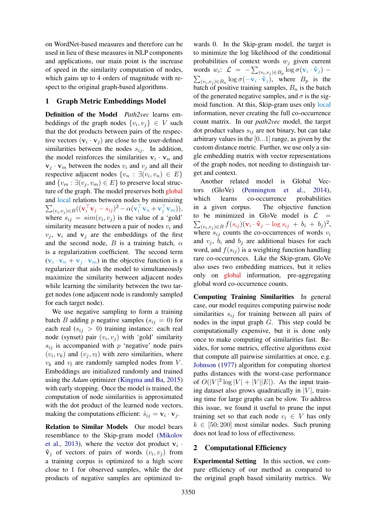on WordNet-based measures and therefore can be used in lieu of these measures in NLP components and applications, our main point is the increase of speed in the similarity computation of nodes, which gains up to 4 orders of magnitude with respect to the original graph-based algorithms.

# 1 Graph Metric Embeddings Model

Definition of the Model *Path2vec* learns embeddings of the graph nodes  $\{v_i, v_j\} \in V$  such that the dot products between pairs of the respective vectors  $(\mathbf{v}_i \cdot \mathbf{v}_j)$  are close to the user-defined similarities between the nodes  $s_{ij}$ . In addition, the model reinforces the similarities  $v_i \cdot v_n$  and  $v_j \cdot v_m$  between the nodes  $v_i$  and  $v_j$  and all their respective adjacent nodes  $\{v_n : \exists (v_i, v_n) \in E\}$ and  $\{v_m : \exists (v_i, v_m) \in E\}$  to preserve local structure of the graph. The model preserves both global and local relations between nodes by minimizing  $\sum_{(v_i, v_j) \in B} ((\mathbf{v}_i^\top \mathbf{v}_j - s_{ij})^2 - \alpha (\mathbf{v}_i^\top \mathbf{v}_n + \mathbf{v}_j^\top \mathbf{v}_m)),$ where  $s_{ij} = sim(v_i, v_j)$  is the value of a 'gold' similarity measure between a pair of nodes  $v_i$  and  $v_i$ ,  $v_i$  and  $v_j$  are the embeddings of the first and the second node, B is a training batch,  $\alpha$ is a regularization coefficient. The second term  $(\mathbf{v}_i \cdot \mathbf{v}_n + \mathbf{v}_j \cdot \mathbf{v}_m)$  in the objective function is a regularizer that aids the model to simultaneously maximize the similarity between adjacent nodes while learning the similarity between the two target nodes (one adjacent node is randomly sampled for each target node).

We use negative sampling to form a training batch B adding p negative samples  $(s_{ij} = 0)$  for each real  $(s_{ij} > 0)$  training instance: each real node (synset) pair  $(v_i, v_j)$  with 'gold' similarity  $s_{ij}$  is accompanied with p 'negative' node pairs  $(v_i, v_k)$  and  $(v_j, v_l)$  with zero similarities, where  $v_k$  and  $v_l$  are randomly sampled nodes from  $V$ . Embeddings are initialized randomly and trained using the *Adam* optimizer [\(Kingma and Ba,](#page-5-4) [2015\)](#page-5-4) with early stopping. Once the model is trained, the computation of node similarities is approximated with the dot product of the learned node vectors, making the computations efficient:  $\hat{s}_{ij} = \mathbf{v}_i \cdot \mathbf{v}_j$ .

Relation to Similar Models Our model bears resemblance to the Skip-gram model [\(Mikolov](#page-5-5) [et al.,](#page-5-5) [2013\)](#page-5-5), where the vector dot product  $v_i$ .  $\tilde{\mathbf{v}}_j$  of vectors of pairs of words  $(v_i, v_j)$  from a training corpus is optimized to a high score close to 1 for observed samples, while the dot products of negative samples are optimized to-

wards 0. In the Skip-gram model, the target is to minimize the log likelihood of the conditional probabilities of context words  $w_i$  given current words  $w_i$ :  $\mathcal{L} = -\sum_{(v_i, v_j) \in B_p} \log \sigma(\mathbf{v}_i \cdot \tilde{\mathbf{v}}_j)$  –  $\sum_{(v_i, v_j) \in B_n} \log \sigma(-\mathbf{v}_i \cdot \tilde{\mathbf{v}}_j)$ , where  $B_p$  is the batch of positive training samples,  $B_n$  is the batch of the generated negative samples, and  $\sigma$  is the sigmoid function. At this, Skip-gram uses only local information, never creating the full co-occurrence count matrix. In our *path2vec* model, the target dot product values  $s_{ij}$  are not binary, but can take arbitrary values in the  $[0...1]$  range, as given by the custom distance metric. Further, we use only a single embedding matrix with vector representations of the graph nodes, not needing to distinguish target and context.

Another related model is Global Vectors (GloVe) [\(Pennington et al.,](#page-6-3) [2014\)](#page-6-3), which learns co-occurrence probabilities in a given corpus. The objective function to be minimized in GloVe model is  $\mathcal{L}$  =  $\sum_{(v_i, v_j) \in B} f(s_{ij}) (\mathbf{v}_i \cdot \tilde{\mathbf{v}}_j - \log s_{ij} + b_i + b_j)^2,$ where  $s_{ij}$  counts the co-occurrences of words  $v_i$ and  $v_i$ ,  $b_i$  and  $b_j$  are additional biases for each word, and  $f(s_{ij})$  is a weighting function handling rare co-occurrences. Like the Skip-gram, GloVe also uses two embedding matrices, but it relies only on global information, pre-aggregating global word co-occurrence counts.

Computing Training Similarities In general case, our model requires computing pairwise node similarities  $s_{ij}$  for training between all pairs of nodes in the input graph G. This step could be computationally expensive, but it is done only once to make computing of similarities fast. Besides, for some metrics, effective algorithms exist that compute all pairwise similarities at once, e.g. [Johnson](#page-5-6) [\(1977\)](#page-5-6) algorithm for computing shortest paths distances with the worst-case performance of  $O(|V|^2 \log |V| + |V||E|)$ . As the input training dataset also grows quadratically in  $|V|$ , training time for large graphs can be slow. To address this issue, we found it useful to prune the input training set so that each node  $v_i \in V$  has only  $k \in [50; 200]$  most similar nodes. Such pruning does not lead to loss of effectiveness.

# 2 Computational Efficiency

Experimental Setting In this section, we compare efficiency of our method as compared to the original graph based similarity metrics. We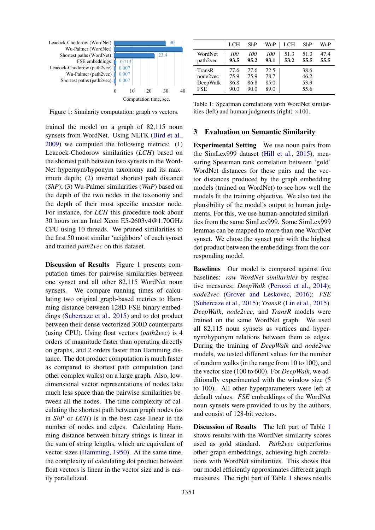<span id="page-2-0"></span>

Figure 1: Similarity computation: graph vs vectors.

trained the model on a graph of 82,115 noun synsets from WordNet. Using NLTK [\(Bird et al.,](#page-5-7) [2009\)](#page-5-7) we computed the following metrics: (1) Leacock-Chodorow similarities (*LCH*) based on the shortest path between two synsets in the Word-Net hypernym/hyponym taxonomy and its maximum depth; (2) inverted shortest path distance (*ShP*); (3) Wu-Palmer similarities (*WuP*) based on the depth of the two nodes in the taxonomy and the depth of their most specific ancestor node. For instance, for *LCH* this procedure took about 30 hours on an Intel Xeon E5-2603v4@1.70GHz CPU using 10 threads. We pruned similarities to the first 50 most similar 'neighbors' of each synset and trained *path2vec* on this dataset.

Discussion of Results Figure [1](#page-2-0) presents computation times for pairwise similarities between one synset and all other 82,115 WordNet noun synsets. We compare running times of calculating two original graph-based metrics to Hamming distance between 128D FSE binary embeddings [\(Subercaze et al.,](#page-6-4) [2015\)](#page-6-4) and to dot product between their dense vectorized 300D counterparts (using CPU). Using float vectors (*path2vec*) is 4 orders of magnitude faster than operating directly on graphs, and 2 orders faster than Hamming distance. The dot product computation is much faster as compared to shortest path computation (and other complex walks) on a large graph. Also, lowdimensional vector representations of nodes take much less space than the pairwise similarities between all the nodes. The time complexity of calculating the shortest path between graph nodes (as in *ShP* or *LCH*) is in the best case linear in the number of nodes and edges. Calculating Hamming distance between binary strings is linear in the sum of string lengths, which are equivalent of vector sizes [\(Hamming,](#page-5-8) [1950\)](#page-5-8). At the same time, the complexity of calculating dot product between float vectors is linear in the vector size and is easily parallelized.

<span id="page-2-1"></span>

|                                              | <b>LCH</b>                   | ShP                          | WuP                          | LCH          | ShP                          | WuP          |
|----------------------------------------------|------------------------------|------------------------------|------------------------------|--------------|------------------------------|--------------|
| WordNet<br>path2vec                          | 100<br>93.5                  | 100<br>95.2                  | 100<br>93.1                  | 51.3<br>53.2 | 51.3<br>55.5                 | 47.4<br>55.5 |
| TransR<br>node2vec<br>DeepWalk<br><b>FSE</b> | 77.6<br>75.9<br>86.8<br>90.0 | 77.6<br>75.9<br>86.8<br>90.0 | 72.5<br>78.7<br>85.0<br>89.0 |              | 38.6<br>46.2<br>53.3<br>55.6 |              |

Table 1: Spearman correlations with WordNet similarities (left) and human judgments (right)  $\times 100$ .

## 3 Evaluation on Semantic Similarity

Experimental Setting We use noun pairs from the SimLex999 dataset [\(Hill et al.,](#page-5-9) [2015\)](#page-5-9), measuring Spearman rank correlation between 'gold' WordNet distances for these pairs and the vector distances produced by the graph embedding models (trained on WordNet) to see how well the models fit the training objective. We also test the plausibility of the model's output to human judgments. For this, we use human-annotated similarities from the same SimLex999. Some SimLex999 lemmas can be mapped to more than one WordNet synset. We chose the synset pair with the highest dot product between the embeddings from the corresponding model.

Baselines Our model is compared against five baselines: *raw WordNet similarities* by respective measures; *DeepWalk* [\(Perozzi et al.,](#page-6-5) [2014\)](#page-6-5); *node2vec* [\(Grover and Leskovec,](#page-5-10) [2016\)](#page-5-10); *FSE* [\(Subercaze et al.,](#page-6-4) [2015\)](#page-6-4); *TransR* [\(Lin et al.,](#page-5-11) [2015\)](#page-5-11). *DeepWalk*, *node2vec*, and *TransR* models were trained on the same WordNet graph. We used all 82,115 noun synsets as vertices and hypernym/hyponym relations between them as edges. During the training of *DeepWalk* and *node2vec* models, we tested different values for the number of random walks (in the range from 10 to 100), and the vector size (100 to 600). For *DeepWalk*, we additionally experimented with the window size (5 to 100). All other hyperparameters were left at default values. *FSE* embeddings of the WordNet noun synsets were provided to us by the authors, and consist of 128-bit vectors.

Discussion of Results The left part of Table [1](#page-2-1) shows results with the WordNet similarity scores used as gold standard. *Path2vec* outperforms other graph embeddings, achieving high correlations with WordNet similarities. This shows that our model efficiently approximates different graph measures. The right part of Table [1](#page-2-1) shows results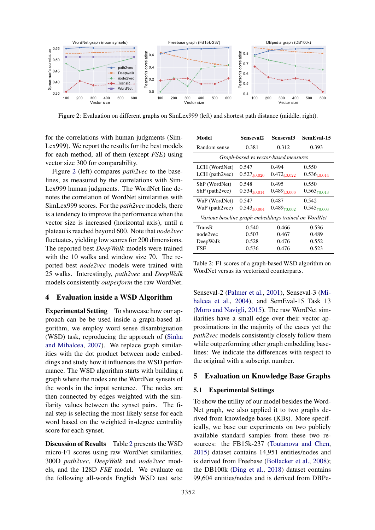<span id="page-3-0"></span>

Figure 2: Evaluation on different graphs on SimLex999 (left) and shortest path distance (middle, right).

for the correlations with human judgments (Sim-Lex999). We report the results for the best models for each method, all of them (except *FSE*) using vector size 300 for comparability.

Figure [2](#page-3-0) (left) compares *path2vec* to the baselines, as measured by the correlations with Sim-Lex999 human judgments. The WordNet line denotes the correlation of WordNet similarities with SimLex999 scores. For the *path2vec* models, there is a tendency to improve the performance when the vector size is increased (horizontal axis), until a plateau is reached beyond 600. Note that *node2vec* fluctuates, yielding low scores for 200 dimensions. The reported best *DeepWalk* models were trained with the 10 walks and window size 70. The reported best *node2vec* models were trained with 25 walks. Interestingly, *path2vec* and *DeepWalk* models consistently *outperform* the raw WordNet.

## 4 Evaluation inside a WSD Algorithm

Experimental Setting To showcase how our approach can be be used inside a graph-based algorithm, we employ word sense disambiguation (WSD) task, reproducing the approach of [\(Sinha](#page-6-2) [and Mihalcea,](#page-6-2) [2007\)](#page-6-2). We replace graph similarities with the dot product between node embeddings and study how it influences the WSD performance. The WSD algorithm starts with building a graph where the nodes are the WordNet synsets of the words in the input sentence. The nodes are then connected by edges weighted with the similarity values between the synset pairs. The final step is selecting the most likely sense for each word based on the weighted in-degree centrality score for each synset.

Discussion of Results Table [2](#page-3-1) presents the WSD micro-F1 scores using raw WordNet similarities, 300D *path2vec*, *DeepWalk* and *node2vec* models, and the 128D *FSE* model. We evaluate on the following all-words English WSD test sets:

<span id="page-3-1"></span>

| Model                                                | Senseval2                                   | Senseval3                                   | SemEval-15                                  |  |  |  |  |  |
|------------------------------------------------------|---------------------------------------------|---------------------------------------------|---------------------------------------------|--|--|--|--|--|
| Random sense                                         | 0.381                                       | 0.312                                       | 0.393                                       |  |  |  |  |  |
| Graph-based vs vector-based measures                 |                                             |                                             |                                             |  |  |  |  |  |
| LCH (WordNet)                                        | 0.547                                       | 0.494                                       | 0.550                                       |  |  |  |  |  |
| $LCH$ (path $2$ vec)                                 | $0.527_{\textcolor{red}{\downarrow 0.020}}$ | $0.472_{\textcolor{red}{\downarrow 0.022}}$ | $0.536_{\textcolor{red}{\downarrow 0.014}}$ |  |  |  |  |  |
| ShP (WordNet)                                        | 0.548                                       | 0.495                                       | 0.550                                       |  |  |  |  |  |
| ShP (path2vec)                                       | $0.534_{\textcolor{red}{\downarrow 0.014}}$ | $0.489_{\textcolor{red}{\downarrow 0.006}}$ | $0.563_{\text{†}0.013}$                     |  |  |  |  |  |
| WuP (WordNet)                                        | 0.547                                       | 0.487                                       | 0.542                                       |  |  |  |  |  |
| WuP (path2vec)                                       | $0.543_{\textcolor{red}{\downarrow 0.004}}$ | $0.489_{\text{†0.002}}$                     | $0.545_{\text{†}0.003}$                     |  |  |  |  |  |
| Various baseline graph embeddings trained on WordNet |                                             |                                             |                                             |  |  |  |  |  |
| TransR                                               | 0.540                                       | 0.466                                       | 0.536                                       |  |  |  |  |  |
| node2vec                                             | 0.503                                       | 0.467                                       | 0.489                                       |  |  |  |  |  |
| DeepWalk                                             | 0.528                                       | 0.476                                       | 0.552                                       |  |  |  |  |  |
| <b>FSE</b>                                           | 0.536                                       | 0.476                                       | 0.523                                       |  |  |  |  |  |

Table 2: F1 scores of a graph-based WSD algorithm on WordNet versus its vectorized counterparts.

Senseval-2 [\(Palmer et al.,](#page-6-6) [2001\)](#page-6-6), Senseval-3 [\(Mi](#page-5-12)[halcea et al.,](#page-5-12) [2004\)](#page-5-12), and SemEval-15 Task 13 [\(Moro and Navigli,](#page-5-13) [2015\)](#page-5-13). The raw WordNet similarities have a small edge over their vector approximations in the majority of the cases yet the *path2vec* models consistently closely follow them while outperforming other graph embedding baselines: We indicate the differences with respect to the original with a subscript number.

# 5 Evaluation on Knowledge Base Graphs

## 5.1 Experimental Settings

To show the utility of our model besides the Word-Net graph, we also applied it to two graphs derived from knowledge bases (KBs). More specifically, we base our experiments on two publicly available standard samples from these two resources: the FB15k-237 [\(Toutanova and Chen,](#page-6-7) [2015\)](#page-6-7) dataset contains 14,951 entities/nodes and is derived from Freebase [\(Bollacker et al.,](#page-5-14) [2008\)](#page-5-14); the DB100k [\(Ding et al.,](#page-5-15) [2018\)](#page-5-15) dataset contains 99,604 entities/nodes and is derived from DBPe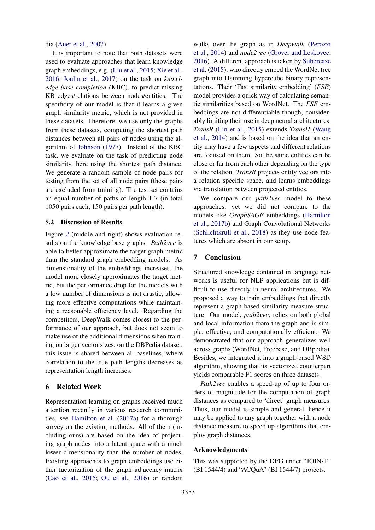dia [\(Auer et al.,](#page-5-16) [2007\)](#page-5-16).

It is important to note that both datasets were used to evaluate approaches that learn knowledge graph embeddings, e.g. [\(Lin et al.,](#page-5-11) [2015;](#page-5-11) [Xie et al.,](#page-6-8) [2016;](#page-6-8) [Joulin et al.,](#page-5-17) [2017\)](#page-5-17) on the task on *knowledge base completion* (KBC), to predict missing KB edges/relations between nodes/entities. The specificity of our model is that it learns a given graph similarity metric, which is not provided in these datasets. Therefore, we use only the graphs from these datasets, computing the shortest path distances between all pairs of nodes using the algorithm of [Johnson](#page-5-6) [\(1977\)](#page-5-6). Instead of the KBC task, we evaluate on the task of predicting node similarity, here using the shortest path distance. We generate a random sample of node pairs for testing from the set of all node pairs (these pairs are excluded from training). The test set contains an equal number of paths of length 1-7 (in total 1050 pairs each, 150 pairs per path length).

#### 5.2 Discussion of Results

Figure [2](#page-3-0) (middle and right) shows evaluation results on the knowledge base graphs. *Path2vec* is able to better approximate the target graph metric than the standard graph embedding models. As dimensionality of the embeddings increases, the model more closely approximates the target metric, but the performance drop for the models with a low number of dimensions is not drastic, allowing more effective computations while maintaining a reasonable efficiency level. Regarding the competitors, DeepWalk comes closest to the performance of our approach, but does not seem to make use of the additional dimensions when training on larger vector sizes; on the DBPedia dataset, this issue is shared between all baselines, where correlation to the true path lengths decreases as representation length increases.

#### 6 Related Work

Representation learning on graphs received much attention recently in various research communities, see [Hamilton et al.](#page-5-18) [\(2017a\)](#page-5-18) for a thorough survey on the existing methods. All of them (including ours) are based on the idea of projecting graph nodes into a latent space with a much lower dimensionality than the number of nodes. Existing approaches to graph embeddings use either factorization of the graph adjacency matrix [\(Cao et al.,](#page-5-19) [2015;](#page-5-19) [Ou et al.,](#page-6-9) [2016\)](#page-6-9) or random

walks over the graph as in *Deepwalk* [\(Perozzi](#page-6-5) [et al.,](#page-6-5) [2014\)](#page-6-5) and *node2vec* [\(Grover and Leskovec,](#page-5-10) [2016\)](#page-5-10). A different approach is taken by [Subercaze](#page-6-4) [et al.](#page-6-4) [\(2015\)](#page-6-4), who directly embed the WordNet tree graph into Hamming hypercube binary representations. Their 'Fast similarity embedding' (*FSE*) model provides a quick way of calculating semantic similarities based on WordNet. The *FSE* embeddings are not differentiable though, considerably limiting their use in deep neural architectures. *TransR* [\(Lin et al.,](#page-5-11) [2015\)](#page-5-11) extends *TransH* [\(Wang](#page-6-10) [et al.,](#page-6-10) [2014\)](#page-6-10) and is based on the idea that an entity may have a few aspects and different relations are focused on them. So the same entities can be close or far from each other depending on the type of the relation. *TransR* projects entity vectors into a relation specific space, and learns embeddings via translation between projected entities.

We compare our *path2vec* model to these approaches, yet we did not compare to the models like *GraphSAGE* embeddings [\(Hamilton](#page-5-20) [et al.,](#page-5-20) [2017b\)](#page-5-20) and Graph Convolutional Networks [\(Schlichtkrull et al.,](#page-6-11) [2018\)](#page-6-11) as they use node features which are absent in our setup.

## 7 Conclusion

Structured knowledge contained in language networks is useful for NLP applications but is difficult to use directly in neural architectures. We proposed a way to train embeddings that directly represent a graph-based similarity measure structure. Our model, *path2vec*, relies on both global and local information from the graph and is simple, effective, and computationally efficient. We demonstrated that our approach generalizes well across graphs (WordNet, Freebase, and DBpedia). Besides, we integrated it into a graph-based WSD algorithm, showing that its vectorized counterpart yields comparable F1 scores on three datasets.

*Path2vec* enables a speed-up of up to four orders of magnitude for the computation of graph distances as compared to 'direct' graph measures. Thus, our model is simple and general, hence it may be applied to any graph together with a node distance measure to speed up algorithms that employ graph distances.

# Acknowledgments

This was supported by the DFG under "JOIN-T" (BI 1544/4) and "ACQuA" (BI 1544/7) projects.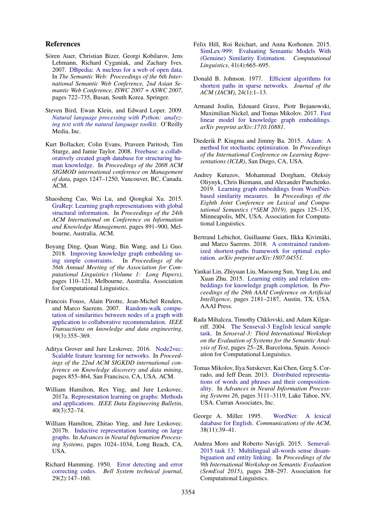## References

- <span id="page-5-16"></span>Sören Auer, Christian Bizer, Georgi Kobilarov, Jens Lehmann, Richard Cyganiak, and Zachary Ives. 2007. [DBpedia: A nucleus for a web of open data.](https://link.springer.com/chapter/10.1007/978-3-540-76298-0_52) In *The Semantic Web: Proceedings of the 6th International Semantic Web Conference, 2nd Asian Semantic Web Conference, ISWC 2007 + ASWC 2007*, pages 722–735, Busan, South Korea. Springer.
- <span id="page-5-7"></span>Steven Bird, Ewan Klein, and Edward Loper. 2009. *[Natural language processing with Python: analyz](https://www.nltk.org/book/)[ing text with the natural language toolkit](https://www.nltk.org/book/)*. O'Reilly Media, Inc.
- <span id="page-5-14"></span>Kurt Bollacker, Colin Evans, Praveen Paritosh, Tim Sturge, and Jamie Taylor. 2008. [Freebase: a collab](https://dl.acm.org/citation.cfm?id=1376746)[oratively created graph database for structuring hu](https://dl.acm.org/citation.cfm?id=1376746)[man knowledge.](https://dl.acm.org/citation.cfm?id=1376746) In *Proceedings of the 2008 ACM SIGMOD international conference on Management of data*, pages 1247–1250, Vancouver, BC, Canada. ACM.
- <span id="page-5-19"></span>Shaosheng Cao, Wei Lu, and Qiongkai Xu. 2015. [GraRep: Learning graph representations with global](https://dl.acm.org/citation.cfm?id=2806512) [structural information.](https://dl.acm.org/citation.cfm?id=2806512) In *Proceedings of the 24th ACM International on Conference on Information and Knowledge Management*, pages 891–900, Melbourne, Australia. ACM.
- <span id="page-5-15"></span>Boyang Ding, Quan Wang, Bin Wang, and Li Guo. 2018. [Improving knowledge graph embedding us](https://www.aclweb.org/anthology/P18-1011)[ing simple constraints.](https://www.aclweb.org/anthology/P18-1011) In *Proceedings of the 56th Annual Meeting of the Association for Computational Linguistics (Volume 1: Long Papers)*, pages 110–121, Melbourne, Australia. Association for Computational Linguistics.
- <span id="page-5-1"></span>Francois Fouss, Alain Pirotte, Jean-Michel Renders, and Marco Saerens. 2007. [Random-walk compu](https://ieeexplore.ieee.org/document/4072747)[tation of similarities between nodes of a graph with](https://ieeexplore.ieee.org/document/4072747) [application to collaborative recommendation.](https://ieeexplore.ieee.org/document/4072747) *IEEE Transactions on knowledge and data engineering*, 19(3):355–369.
- <span id="page-5-10"></span>Aditya Grover and Jure Leskovec. 2016. [Node2vec:](https://dl.acm.org/citation.cfm?id=2939754) [Scalable feature learning for networks.](https://dl.acm.org/citation.cfm?id=2939754) In *Proceedings of the 22nd ACM SIGKDD international conference on Knowledge discovery and data mining*, pages 855–864, San Francisco, CA, USA. ACM.
- <span id="page-5-18"></span>William Hamilton, Rex Ying, and Jure Leskovec. 2017a. [Representation learning on graphs: Methods](http://sites.computer.org/debull/A17sept/p52.pdf) [and applications.](http://sites.computer.org/debull/A17sept/p52.pdf) *IEEE Data Engineering Bulletin*, 40(3):52–74.
- <span id="page-5-20"></span>William Hamilton, Zhitao Ying, and Jure Leskovec. 2017b. [Inductive representation learning on large](https://papers.nips.cc/paper/6703-inductive-representation-learning-on-large-graphs.pdf) [graphs.](https://papers.nips.cc/paper/6703-inductive-representation-learning-on-large-graphs.pdf) In *Advances in Neural Information Processing Systems*, pages 1024–1034, Long Beach, CA, USA.
- <span id="page-5-8"></span>Richard Hamming. 1950. [Error detecting and error](https://ieeexplore.ieee.org/document/6772729) [correcting codes.](https://ieeexplore.ieee.org/document/6772729) *Bell System technical journal*, 29(2):147–160.
- <span id="page-5-9"></span>Felix Hill, Roi Reichart, and Anna Korhonen. 2015. [SimLex-999: Evaluating Semantic Models With](https://www.aclweb.org/anthology/J15-4004) [\(Genuine\) Similarity Estimation.](https://www.aclweb.org/anthology/J15-4004) *Computational Linguistics*, 41(4):665–695.
- <span id="page-5-6"></span>Donald B. Johnson. 1977. [Efficient algorithms for](https://dl.acm.org/citation.cfm?id=321993) [shortest paths in sparse networks.](https://dl.acm.org/citation.cfm?id=321993) *Journal of the ACM (JACM)*, 24(1):1–13.
- <span id="page-5-17"></span>Armand Joulin, Edouard Grave, Piotr Bojanowski, Maximilian Nickel, and Tomas Mikolov. 2017. [Fast](https://arxiv.org/abs/1710.10881) [linear model for knowledge graph embeddings.](https://arxiv.org/abs/1710.10881) *arXiv preprint arXiv:1710.10881*.
- <span id="page-5-4"></span>Diederik P. Kingma and Jimmy Ba. 2015. [Adam: A](https://hdl.handle.net/11245/1.505367) [method for stochastic optimization.](https://hdl.handle.net/11245/1.505367) In *Proceedings of the International Conference on Learning Representations (ICLR)*, San Diego, CA, USA.
- <span id="page-5-3"></span>Andrey Kutuzov, Mohammad Dorgham, Oleksiy Oliynyk, Chris Biemann, and Alexander Panchenko. 2019. [Learning graph embeddings from WordNet](https://www.aclweb.org/anthology/S19-1014)[based similarity measures.](https://www.aclweb.org/anthology/S19-1014) In *Proceedings of the Eighth Joint Conference on Lexical and Computational Semantics (\*SEM 2019)*, pages 125–135, Minneapolis, MN, USA. Association for Computational Linguistics.
- <span id="page-5-2"></span>Bertrand Lebichot, Guillaume Guex, Ilkka Kivimäki, and Marco Saerens. 2018. [A constrained random](https://arxiv.org/abs/1807.04551)[ized shortest-paths framework for optimal explo](https://arxiv.org/abs/1807.04551)[ration.](https://arxiv.org/abs/1807.04551) *arXiv preprint arXiv:1807.04551*.
- <span id="page-5-11"></span>Yankai Lin, Zhiyuan Liu, Maosong Sun, Yang Liu, and Xuan Zhu. 2015. [Learning entity and relation em](https://www.aaai.org/ocs/index.php/AAAI/AAAI15/paper/view/9571)[beddings for knowledge graph completion.](https://www.aaai.org/ocs/index.php/AAAI/AAAI15/paper/view/9571) In *Proceedings of the 29th AAAI Conference on Artificial Intelligence*, pages 2181–2187, Austin, TX, USA. AAAI Press.
- <span id="page-5-12"></span>Rada Mihalcea, Timothy Chklovski, and Adam Kilgarriff. 2004. [The Senseval-3 English lexical sample](http://aclweb.org/anthology/W04-0807) [task.](http://aclweb.org/anthology/W04-0807) In *Senseval-3: Third International Workshop on the Evaluation of Systems for the Semantic Analysis of Text*, pages 25–28, Barcelona, Spain. Association for Computational Linguistics.
- <span id="page-5-5"></span>Tomas Mikolov, Ilya Sutskever, Kai Chen, Greg S. Corrado, and Jeff Dean. 2013. [Distributed representa](https://papers.nips.cc/paper/5021-distributed-representations-of-words-and-phrases-and-their-compositionality.pdf)[tions of words and phrases and their composition](https://papers.nips.cc/paper/5021-distributed-representations-of-words-and-phrases-and-their-compositionality.pdf)[ality.](https://papers.nips.cc/paper/5021-distributed-representations-of-words-and-phrases-and-their-compositionality.pdf) In *Advances in Neural Information Processing Systems 26*, pages 3111–3119, Lake Tahoe, NV, USA. Curran Associates, Inc.
- <span id="page-5-0"></span>George A. Miller. 1995. [WordNet: A lexical](https://doi.org/10.1145/219717.219748) [database for English.](https://doi.org/10.1145/219717.219748) *Communications of the ACM*, 38(11):39–41.
- <span id="page-5-13"></span>Andrea Moro and Roberto Navigli. 2015. [Semeval-](https://doi.org/10.18653/v1/S15-2049)[2015 task 13: Multilingual all-words sense disam](https://doi.org/10.18653/v1/S15-2049)[biguation and entity linking.](https://doi.org/10.18653/v1/S15-2049) In *Proceedings of the 9th International Workshop on Semantic Evaluation (SemEval 2015)*, pages 288–297. Association for Computational Linguistics.